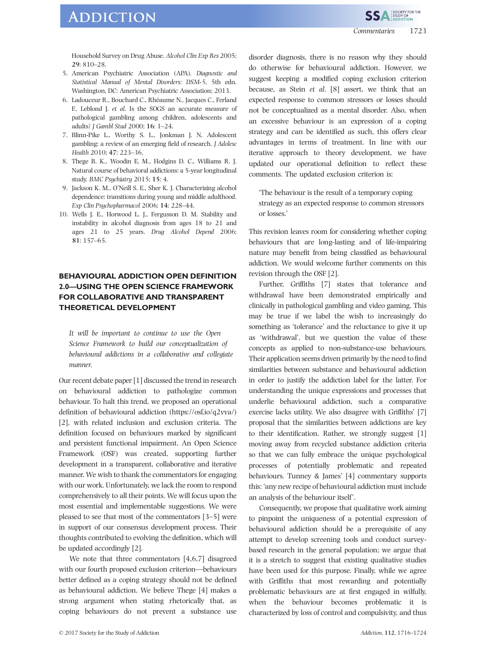## **ADDICTION**

Household Survey on Drug Abuse. Alcohol Clin Exp Res 2005; 29: 810–28.

- 5. American Psychiatric Association (APA). Diagnostic and Statistical Manual of Mental Disorders: DSM-5, 5th edn. Washington, DC: American Psychiatric Association; 2013.
- 6. Ladouceur R., Bouchard C., Rhéaume N., Jacques C., Ferland F., Leblond J. et al. Is the SOGS an accurate measure of pathological gambling among children, adolescents and adults? J Gambl Stud 2000; 16: 1–24.
- 7. Blinn-Pike L., Worthy S. L., Jonkman J. N. Adolescent gambling: a review of an emerging field of research. J Adolesc Health 2010; 47: 223–36.
- 8. Thege B. K., Woodin E. M., Hodgins D. C., Williams R. J. Natural course of behavioral addictions: a 5-year longitudinal study. BMC Psychiatry 2015; 15: 4.
- 9. Jackson K. M., O'Neill S. E., Sher K. J. Characterizing alcohol dependence: transitions during young and middle adulthood. Exp Clin Psychopharmacol 2006; 14: 228–44.
- 10. Wells J. E., Horwood L. J., Fergusson D. M. Stability and instability in alcohol diagnosis from ages 18 to 21 and ages 21 to 25 years. Drug Alcohol Depend 2006; 81: 157–65.

## BEHAVIOURAL ADDICTION OPEN DEFINITION 2.0—USING THE OPEN SCIENCE FRAMEWORK FOR COLLABORATIVE AND TRANSPARENT THEORETICAL DEVELOPMENT

It will be important to continue to use the Open Science Framework to build our conceptualization of behavioural addictions in a collaborative and collegiate manner.

Our recent debate paper [1] discussed the trend in research on behavioural addiction to pathologize common behaviour. To halt this trend, we proposed an operational definition of behavioural addiction ([https://osf.io/q2vva/](https://osf.io/q2vva)) [2], with related inclusion and exclusion criteria. The definition focused on behaviours marked by significant and persistent functional impairment. An Open Science Framework (OSF) was created, supporting further development in a transparent, collaborative and iterative manner. We wish to thank the commentators for engaging with our work. Unfortunately, we lack the room to respond comprehensively to all their points. We will focus upon the most essential and implementable suggestions. We were pleased to see that most of the commentators [3–5] were in support of our consensus development process. Their thoughts contributed to evolving the definition, which will be updated accordingly [2].

We note that three commentators [4,6,7] disagreed with our fourth proposed exclusion criterion—behaviours better defined as a coping strategy should not be defined as behavioural addiction. We believe Thege [4] makes a strong argument when stating rhetorically that, as coping behaviours do not prevent a substance use disorder diagnosis, there is no reason why they should do otherwise for behavioural addiction. However, we suggest keeping a modified coping exclusion criterion because, as Stein *et al.* [8] assert, we think that an expected response to common stressors or losses should not be conceptualized as a mental disorder. Also, when an excessive behaviour is an expression of a coping strategy and can be identified as such, this offers clear advantages in terms of treatment. In line with our iterative approach to theory development, we have updated our operational definition to reflect these comments. The updated exclusion criterion is:

'The behaviour is the result of a temporary coping strategy as an expected response to common stressors or losses.'

This revision leaves room for considering whether coping behaviours that are long-lasting and of life-impairing nature may benefit from being classified as behavioural addiction. We would welcome further comments on this revision through the OSF [2].

Further, Griffiths [7] states that tolerance and withdrawal have been demonstrated empirically and clinically in pathological gambling and video gaming. This may be true if we label the wish to increasingly do something as 'tolerance' and the reluctance to give it up as 'withdrawal', but we question the value of these concepts as applied to non-substance-use behaviours. Their application seems driven primarily by the need to find similarities between substance and behavioural addiction in order to justify the addiction label for the latter. For understanding the unique expressions and processes that underlie behavioural addiction, such a comparative exercise lacks utility. We also disagree with Griffiths' [7] proposal that the similarities between addictions are key to their identification. Rather, we strongly suggest [1] moving away from recycled substance addiction criteria so that we can fully embrace the unique psychological processes of potentially problematic and repeated behaviours. Tunney & James' [4] commentary supports this: 'any new recipe of behavioural addiction must include an analysis of the behaviour itself'.

Consequently, we propose that qualitative work aiming to pinpoint the uniqueness of a potential expression of behavioural addiction should be a prerequisite of any attempt to develop screening tools and conduct surveybased research in the general population; we argue that it is a stretch to suggest that existing qualitative studies have been used for this purpose. Finally, while we agree with Griffiths that most rewarding and potentially problematic behaviours are at first engaged in wilfully, when the behaviour becomes problematic it is characterized by loss of control and compulsivity, and thus